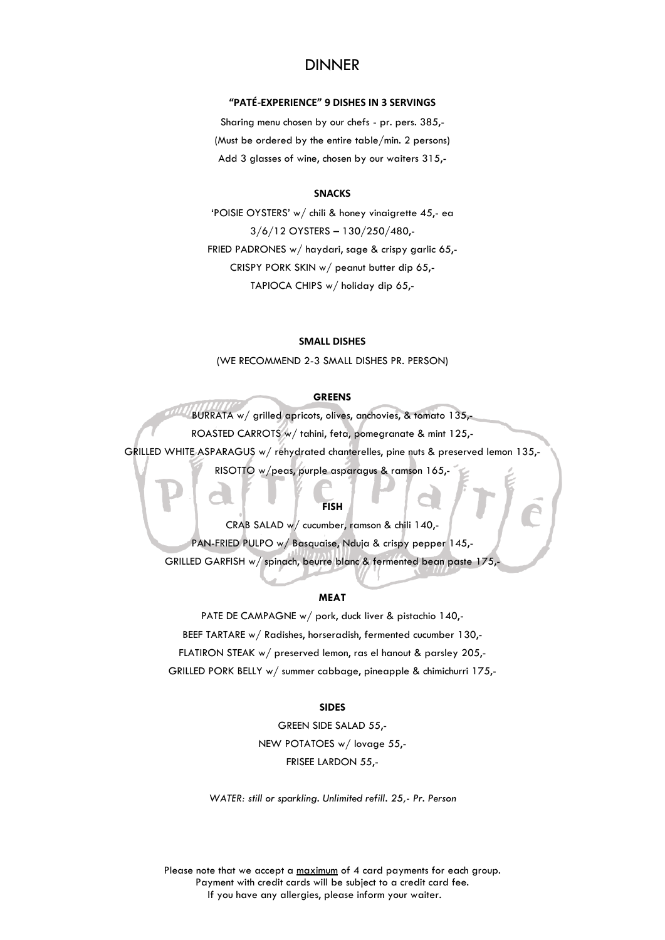# DINNER

# **"PATÉ-EXPERIENCE" 9 DISHES IN 3 SERVINGS**

Sharing menu chosen by our chefs - pr. pers. 385,- (Must be ordered by the entire table/min. 2 persons) Add 3 glasses of wine, chosen by our waiters 315,-

### **SNACKS**

'POISIE OYSTERS' w/ chili & honey vinaigrette 45,- ea 3/6/12 OYSTERS – 130/250/480,- FRIED PADRONES w/ haydari, sage & crispy garlic 65,- CRISPY PORK SKIN w/ peanut butter dip 65,- TAPIOCA CHIPS w/ holiday dip 65,-

### **SMALL DISHES**

(WE RECOMMEND 2-3 SMALL DISHES PR. PERSON)

# **GREENS**

BURRATA w/ grilled apricots, olives, anchovies, & tomato 135,- ROASTED CARROTS w/ tahini, feta, pomegranate & mint 125,- GRILLED WHITE ASPARAGUS w/ rehydrated chanterelles, pine nuts & preserved lemon 135,- RISOTTO w/peas, purple asparagus & ramson 165,-

### **FISH**

CRAB SALAD w/ cucumber, ramson & chili 140,- PAN-FRIED PULPO w/ Basquaise, Nduja & crispy pepper 145,- GRILLED GARFISH w/ spinach, beurre blanc & fermented bean paste 175,

### **MEAT**

PATE DE CAMPAGNE w/ pork, duck liver & pistachio 140,- BEEF TARTARE w/ Radishes, horseradish, fermented cucumber 130,- FLATIRON STEAK w/ preserved lemon, ras el hanout & parsley 205,- GRILLED PORK BELLY w/ summer cabbage, pineapple & chimichurri 175,-

# **SIDES**

GREEN SIDE SALAD 55,- NEW POTATOES w/ lovage 55,- FRISEE LARDON 55,-

*WATER: still or sparkling. Unlimited refill. 25,- Pr. Person*

Please note that we accept a maximum of 4 card payments for each group. Payment with credit cards will be subject to a credit card fee. If you have any allergies, please inform your waiter.